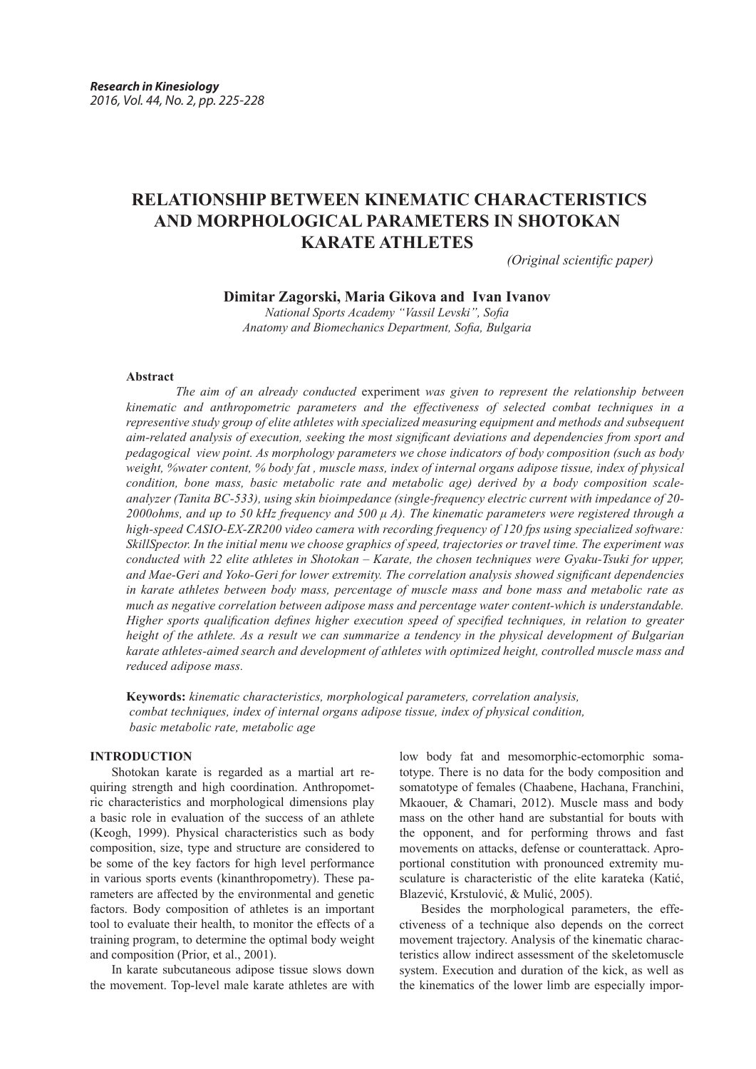# **RELATIONSHIP BETWEEN KINEMATIC CHARACTERISTICS AND MORPHOLOGICAL PARAMETERS IN SHOTOKAN KARATE ATHLETES**

*(Original scientific paper)*

# **Dimitar Zagorski, Maria Gikova and Ivan Ivanov**

*National Sports Academy "Vassil Levski", Sofia Anatomy and Biomechanics Department, Sofia, Bulgaria*

#### **Abstract**

 *The aim of an already conducted* experiment *was given to represent the relationship between kinematic and anthropometric parameters and the effectiveness of selected combat techniques in a representive study group of elite athletes with specialized measuring equipment and methods and subsequent aim-related analysis of execution, seeking the most significant deviations and dependencies from sport and pedagogical view point. As morphology parameters we chose indicators of body composition (such as body weight, %water content, % body fat , muscle mass, index of internal organs adipose tissue, index of physical condition, bone mass, basic metabolic rate and metabolic age) derived by a body composition scaleanalyzer (Tanita BC-533), using skin bioimpedance (single-frequency electric current with impedance of 20- 2000ohms, and up to 50 kHz frequency and 500 μ A). The kinematic parameters were registered through a high-speed CASIO-EX-ZR200 video camera with recording frequency of 120 fps using specialized software: SkillSpector. In the initial menu we choose graphics of speed, trajectories or travel time. The experiment was conducted with 22 elite athletes in Shotokan – Karate, the chosen techniques were Gyaku-Tsuki for upper, and Mae-Geri and Yoko-Geri for lower extremity. The correlation analysis showed significant dependencies in karate athletes between body mass, percentage of muscle mass and bone mass and metabolic rate as much as negative correlation between adipose mass and percentage water content-which is understandable. Higher sports qualification defines higher execution speed of specified techniques, in relation to greater height of the athlete. As a result we can summarize a tendency in the physical development of Bulgarian karate athletes-aimed search and development of athletes with optimized height, controlled muscle mass and reduced adipose mass.* 

**Keywords:** *kinematic characteristics, morphological parameters, correlation analysis, combat techniques, index of internal organs adipose tissue, index of physical condition, basic metabolic rate, metabolic age*

# **INTRODUCTION**

Shotokan karate is regarded as a martial art requiring strength and high coordination. Anthropometric characteristics and morphological dimensions play a basic role in evaluation of the success of an athlete (Keogh, 1999). Physical characteristics such as body composition, size, type and structure are considered to be some of the key factors for high level performance in various sports events (kinanthropometry). These parameters are affected by the environmental and genetic factors. Body composition of athletes is an important tool to evaluate their health, to monitor the effects of a training program, to determine the optimal body weight and composition (Prior, et al., 2001).

In karate subcutaneous adipose tissue slows down the movement. Top-level male karate athletes are with

low body fat and mesomorphic-ectomorphic somatotype. There is no data for the body composition and somatotype of females (Chaabene, Hachana, Franchini, Mkaouer, & Chamari, 2012). Muscle mass and body mass on the other hand are substantial for bouts with the opponent, and for performing throws and fast movements on attacks, defense or counterattack. Aproportional constitution with pronounced extremity musculature is characteristic of the elite karateka (Каtić, Blazević, Krstulović, & Mulić, 2005).

Besides the morphological parameters, the effectiveness of a technique also depends on the correct movement trajectory. Analysis of the kinematic characteristics allow indirect assessment of the skeletomuscle system. Execution and duration of the kick, as well as the kinematics of the lower limb are especially impor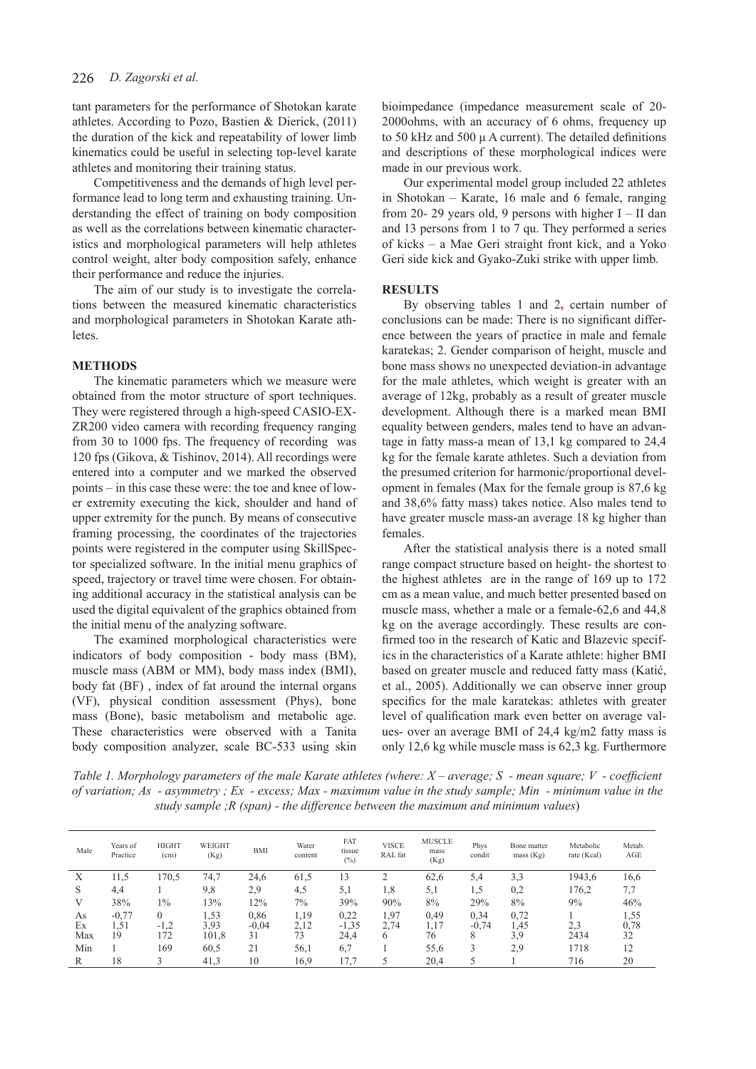tant parameters for the performance of Shotokan karate athletes. According to Pozo, Bastien & Dierick, (2011) the duration of the kick and repeatability of lower limb kinematics could be useful in selecting top-level karate athletes and monitoring their training status.

Competitiveness and the demands of high level performance lead to long term and exhausting training. Understanding the effect of training on body composition as well as the correlations between kinematic characteristics and morphological parameters will help athletes control weight, alter body composition safely, enhance their performance and reduce the injuries.

The aim of our study is to investigate the correlations between the measured kinematic characteristics and morphological parameters in Shotokan Karate athletes.

# **METHODS**

The kinematic parameters which we measure were obtained from the motor structure of sport techniques. They were registered through a high-speed CASIO-EX-ZR200 video camera with recording frequency ranging from 30 to 1000 fps. The frequency of recording was 120 fps (Gikova, & Tishinov, 2014). All recordings were entered into a computer and we marked the observed points – in this case these were: the toe and knee of lower extremity executing the kick, shoulder and hand of upper extremity for the punch. By means of consecutive framing processing, the coordinates of the trajectories points were registered in the computer using SkillSpector specialized software. In the initial menu graphics of speed, trajectory or travel time were chosen. For obtaining additional accuracy in the statistical analysis can be used the digital equivalent of the graphics obtained from the initial menu of the analyzing software.

The examined morphological characteristics were indicators of body composition - body mass (BM), muscle mass (ABM or MM), body mass index (BMI), body fat (BF) , index of fat around the internal organs (VF), physical condition assessment (Phys), bone mass (Bone), basic metabolism and metabolic age. These characteristics were observed with a Tanita body composition analyzer, scale BC-533 using skin

bioimpedance (impedance measurement scale of 20- 2000ohms, with an accuracy of 6 ohms, frequency up to 50 kHz and 500 μ A current). The detailed definitions and descriptions of these morphological indices were made in our previous work.

Our experimental model group included 22 athletes in Shotokan – Karate, 16 male and 6 female, ranging from 20- 29 years old, 9 persons with higher I – II dan and 13 persons from 1 to 7 qu. They performed a series of kicks – a Mae Geri straight front kick, and a Yoko Geri side kick and Gyako-Zuki strike with upper limb.

#### **RESULTS**

By observing tables 1 and 2**,** certain number of conclusions can be made: There is no significant difference between the years of practice in male and female karatekas; 2. Gender comparison of height, muscle and bone mass shows no unexpected deviation-in advantage for the male athletes, which weight is greater with an average of 12kg, probably as a result of greater muscle development. Although there is a marked mean BMI equality between genders, males tend to have an advantage in fatty mass-a mean of 13,1 kg compared to 24,4 kg for the female karate athletes. Such a deviation from the presumed criterion for harmonic/proportional development in females (Max for the female group is 87,6 kg and 38,6% fatty mass) takes notice. Also males tend to have greater muscle mass-an average 18 kg higher than females.

After the statistical analysis there is a noted small range compact structure based on height- the shortest to the highest athletes are in the range of 169 up to 172 cm as a mean value, and much better presented based on muscle mass, whether a male or a female-62,6 and 44,8 kg on the average accordingly. These results are confirmed too in the research of Katic and Blazevic specifics in the characteristics of a Karate athlete: higher BMI based on greater muscle and reduced fatty mass (Katić, et al., 2005). Additionally we can observe inner group specifics for the male karatekas: athletes with greater level of qualification mark even better on average values- over an average BMI of 24,4 kg/m2 fatty mass is only 12,6 kg while muscle mass is 62,3 kg. Furthermore

*Тable 1. Morphology parameters of the male Karate athletes (where: X – average; S - mean square; V - coefficient of variation; As - asymmetry ; Ex - excess; Max - maximum value in the study sample; Min - minimum value in the study sample ;R (span) - the difference between the maximum and minimum values*)

| Male            | Years of<br>Practice  | <b>HIGHT</b><br>(cm)      | WEIGHT<br>(Kg)        | BMI                   | Water<br>content   | FAT<br>tissue<br>(%)    | <b>VISCE</b><br>RAL fat | <b>MUSCLE</b><br>mass<br>(Kg) | Phys<br>condit       | Bone matter<br>mass (Kg) | Metabolic<br>rate (Kcal) | Metab.<br>AGE      |
|-----------------|-----------------------|---------------------------|-----------------------|-----------------------|--------------------|-------------------------|-------------------------|-------------------------------|----------------------|--------------------------|--------------------------|--------------------|
| X               | 11.5                  | 170,5                     | 74,7                  | 24,6                  | 61,5               | 13                      | ◠                       | 62,6                          | 5,4                  | 3,3                      | 1943,6                   | 16,6               |
| S               | 4,4                   |                           | 9,8                   | 2.9                   | 4,5                | 5,1                     | 1.8                     | 5,1                           | 1,5                  | 0,2                      | 176,2                    | 7,7                |
| V               | 38%                   | $1\%$                     | 13%                   | 12%                   | 7%                 | 39%                     | 90%                     | 8%                            | 29%                  | 8%                       | 9%                       | 46%                |
| As<br>Ex<br>Max | $-0.77$<br>1.51<br>19 | $\theta$<br>$-1,2$<br>172 | 1.53<br>3,93<br>101,8 | 0,86<br>$-0.04$<br>31 | 1,19<br>2.12<br>73 | 0.22<br>$-1,35$<br>24,4 | 1,97<br>2.74<br>6       | 0,49<br>1,17<br>76            | 0,34<br>$-0.74$<br>8 | 0,72<br>1.45<br>3.9      | 2,3<br>2434              | 1,55<br>0,78<br>32 |
| Min             |                       | 169                       | 60,5                  | 21                    | 56,1               | 6,7                     |                         | 55,6                          | 2                    | 2.9                      | 1718                     | 12                 |
| R               | 18                    |                           | 41,3                  | 10                    | 16,9               | 17,7                    |                         | 20,4                          |                      |                          | 716                      | 20                 |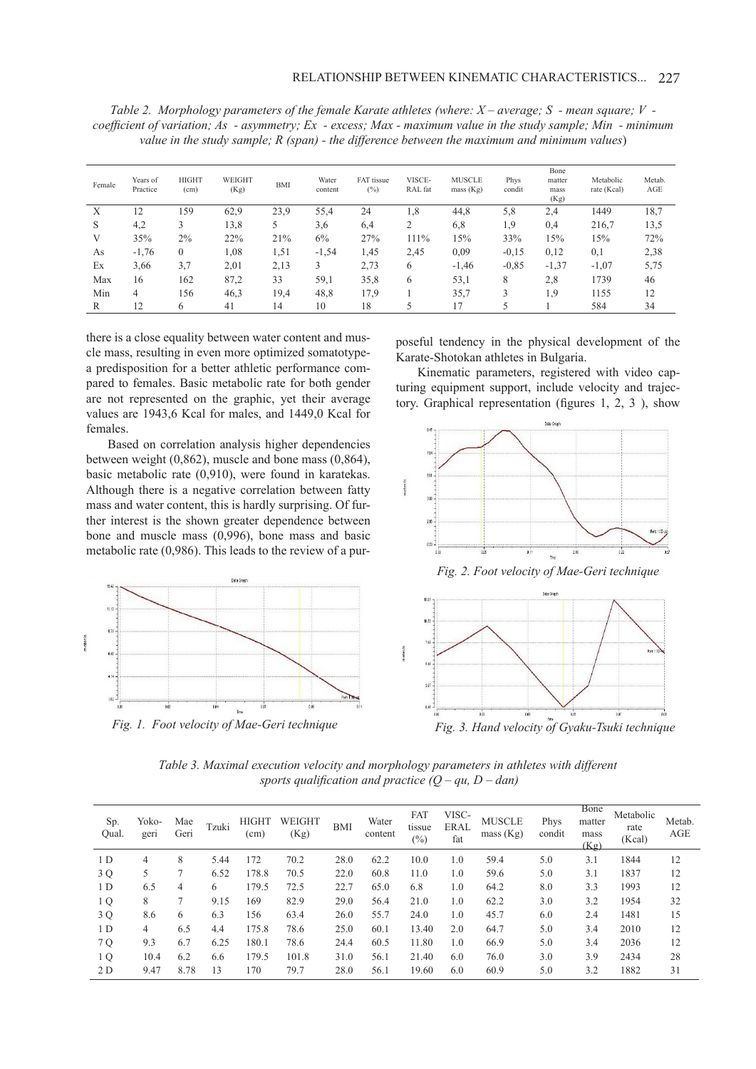*Тable 2. Morphology parameters of the female Karate athletes (where: X – average; S - mean square; V coefficient of variation; As - asymmetry; Ex - excess; Max - maximum value in the study sample; Min - minimum value in the study sample; R (span) - the difference between the maximum and minimum values*)

| Female | Years of<br>Practice | <b>HIGHT</b><br>(cm) | WEIGHT<br>(Kg) | <b>BMI</b> | Water<br>content | FAT tissue<br>(%) | VISCE-<br>RAL fat | <b>MUSCLE</b><br>mass $(Kg)$ | Phys<br>condit | Bone<br>matter<br>mass<br>(Kg) | Metabolic<br>rate (Kcal) | Metab.<br>AGE |
|--------|----------------------|----------------------|----------------|------------|------------------|-------------------|-------------------|------------------------------|----------------|--------------------------------|--------------------------|---------------|
| X      | 12                   | 159                  | 62,9           | 23,9       | 55,4             | 24                | 1.8               | 44,8                         | 5,8            | 2,4                            | 1449                     | 18,7          |
| S      | 4,2                  | 3                    | 13,8           | 5          | 3,6              | 6,4               | $\mathcal{L}$     | 6,8                          | 1.9            | 0,4                            | 216,7                    | 13,5          |
| V      | 35%                  | $2\%$                | 22%            | 21%        | 6%               | 27%               | 111%              | 15%                          | 33%            | 15%                            | 15%                      | 72%           |
| As     | $-1,76$              | $\boldsymbol{0}$     | 1,08           | 1,51       | $-1,54$          | 1,45              | 2,45              | 0,09                         | $-0,15$        | 0,12                           | 0,1                      | 2,38          |
| Ex     | 3,66                 | 3,7                  | 2,01           | 2,13       | 3                | 2,73              | 6                 | $-1,46$                      | $-0.85$        | $-1,37$                        | $-1,07$                  | 5,75          |
| Max    | 16                   | 162                  | 87,2           | 33         | 59,1             | 35,8              | 6                 | 53,1                         | 8              | 2,8                            | 1739                     | 46            |
| Min    | 4                    | 156                  | 46,3           | 19,4       | 48,8             | 17.9              |                   | 35,7                         | 3              | 1,9                            | 1155                     | 12            |
| R      | 12                   | h.                   | 41             | 14         | 10               | 18                |                   |                              |                |                                | 584                      | 34            |
|        |                      |                      |                |            |                  |                   |                   |                              |                |                                |                          |               |

there is a close equality between water content and muscle mass, resulting in even more optimized somatotypea predisposition for a better athletic performance compared to females. Basic metabolic rate for both gender are not represented on the graphic, yet their average values are 1943,6 Kcal for males, and 1449,0 Kcal for females.

Based on correlation analysis higher dependencies between weight (0,862), muscle and bone mass (0,864), basic metabolic rate (0,910), were found in karatekas. Although there is a negative correlation between fatty mass and water content, this is hardly surprising. Of further interest is the shown greater dependence between bone and muscle mass (0,996), bone mass and basic metabolic rate (0,986). This leads to the review of a pur-



*Fig. 1. Foot velocity of Mae-Geri technique*

poseful tendency in the physical development of the Karate-Shotokan athletes in Bulgaria.

Kinematic parameters, registered with video capturing equipment support, include velocity and trajectory. Graphical representation (figures 1, 2, 3 ), show





*Тable 3. Maximal execution velocity and morphology parameters in athletes with different sports qualification and practice*  $(Q - qu, D - dan)$ 

| Sp.<br>Qual.   | Yoko-<br>geri | Mae<br>Geri | Tzuki | <b>HIGHT</b><br>(cm) | WEIGHT<br>(Kg) | <b>BMI</b> | Water<br>content | FAT<br>tissue<br>$(\%)$ | VISC-<br><b>ERAL</b><br>fat | <b>MUSCLE</b><br>mass (Kg) | Phys<br>condit | Bone<br>matter<br>mass<br>(Kg) | Metabolic<br>rate<br>(Kcal) | Metab.<br>AGE |
|----------------|---------------|-------------|-------|----------------------|----------------|------------|------------------|-------------------------|-----------------------------|----------------------------|----------------|--------------------------------|-----------------------------|---------------|
| 1 D            | 4             | 8           | 5.44  | 172                  | 70.2           | 28.0       | 62.2             | 10.0                    | 1.0                         | 59.4                       | 5.0            | 3.1                            | 1844                        | 12            |
| 3 Q            | 5             |             | 6.52  | 178.8                | 70.5           | 22.0       | 60.8             | 11.0                    | 1.0                         | 59.6                       | 5.0            | 3.1                            | 1837                        | 12            |
| 1 <sub>D</sub> | 6.5           | 4           | 6     | 179.5                | 72.5           | 22.7       | 65.0             | 6.8                     | 1.0                         | 64.2                       | 8.0            | 3.3                            | 1993                        | 12            |
| 1 Q            | 8             |             | 9.15  | 169                  | 82.9           | 29.0       | 56.4             | 21.0                    | 1.0                         | 62.2                       | 3.0            | 3.2                            | 1954                        | 32            |
| 3 Q            | 8.6           | 6           | 6.3   | 156                  | 63.4           | 26.0       | 55.7             | 24.0                    | 1.0                         | 45.7                       | 6.0            | 2.4                            | 1481                        | 15            |
| 1 <sub>D</sub> | 4             | 6.5         | 4.4   | 175.8                | 78.6           | 25.0       | 60.1             | 13.40                   | 2.0                         | 64.7                       | 5.0            | 3.4                            | 2010                        | 12            |
| 7 Q            | 9.3           | 6.7         | 6.25  | 180.1                | 78.6           | 24.4       | 60.5             | 11.80                   | 1.0                         | 66.9                       | 5.0            | 3.4                            | 2036                        | 12            |
| 1 Q            | 10.4          | 6.2         | 6.6   | 179.5                | 101.8          | 31.0       | 56.1             | 21.40                   | 6.0                         | 76.0                       | 3.0            | 3.9                            | 2434                        | 28            |
| 2 D            | 9.47          | 8.78        | 13    | 170                  | 79.7           | 28.0       | 56.1             | 19.60                   | 6.0                         | 60.9                       | 5.0            | 3.2                            | 1882                        | 31            |